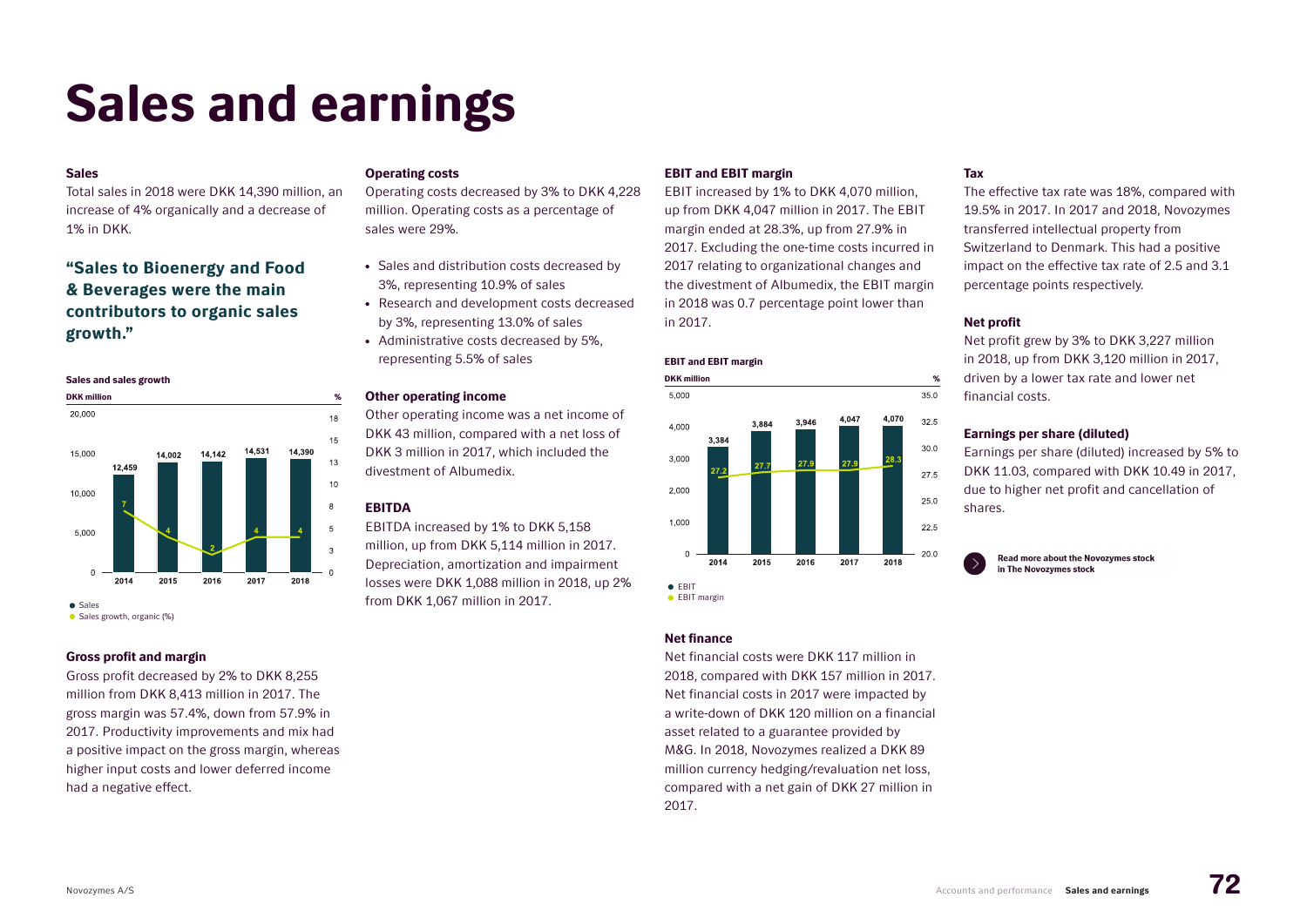# Sales and earnings

#### Sales

Total sales in 2018 were DKK 14,390 million, an increase of 4% organically and a decrease of 1% in DKK.

# "Sales to Bioenergy and Food & Beverages were the main contributors to organic sales growth."

#### Sales and sales growth



• Sales growth, organic (%)

# Gross profit and margin

Gross profit decreased by 2% to DKK 8,255 million from DKK 8,413 million in 2017. The gross margin was 57.4%, down from 57.9% in 2017. Productivity improvements and mix had a positive impact on the gross margin, whereas higher input costs and lower deferred income had a negative effect.

#### Operating costs

Operating costs decreased by 3% to DKK 4,228 million. Operating costs as a percentage of sales were 29%.

- Sales and distribution costs decreased by 3%, representing 10.9% of sales
- Research and development costs decreased by 3%, representing 13.0% of sales
- Administrative costs decreased by 5%, representing 5.5% of sales

#### Other operating income

Other operating income was a net income of DKK 43 million, compared with a net loss of DKK 3 million in 2017, which included the divestment of Albumedix.

# **FRITDA**

EBITDA increased by 1% to DKK 5,158 million, up from DKK 5,114 million in 2017. Depreciation, amortization and impairment losses were DKK 1,088 million in 2018, up 2% from DKK 1,067 million in 2017.

# EBIT and EBIT margin

EBIT increased by 1% to DKK 4,070 million, up from DKK 4,047 million in 2017. The EBIT margin ended at 28.3%, up from 27.9% in 2017. Excluding the one-time costs incurred in 2017 relating to organizational changes and the divestment of Albumedix, the EBIT margin in 2018 was 0.7 percentage point lower than in 2017.

#### EBIT and EBIT margin



• EBIT margin

#### Net finance

Net financial costs were DKK 117 million in 2018, compared with DKK 157 million in 2017. Net financial costs in 2017 were impacted by a write-down of DKK 120 million on a financial asset related to a guarantee provided by M&G. In 2018, Novozymes realized a DKK 89 million currency hedging/revaluation net loss, compared with a net gain of DKK 27 million in 2017.

# Tax

The effective tax rate was 18%, compared with 19.5% in 2017. In 2017 and 2018, Novozymes transferred intellectual property from Switzerland to Denmark. This had a positive impact on the effective tax rate of 2.5 and 3.1 percentage points respectively.

### Net profit

Net profit grew by 3% to DKK 3,227 million in 2018, up from DKK 3,120 million in 2017, driven by a lower tax rate and lower net financial costs.

### Earnings per share (diluted)

Earnings per share (diluted) increased by 5% to DKK 11.03, compared with DKK 10.49 in 2017, due to higher net profit and cancellation of shares.

**Read more about the Novozymes stock** in The Novozvmes stock